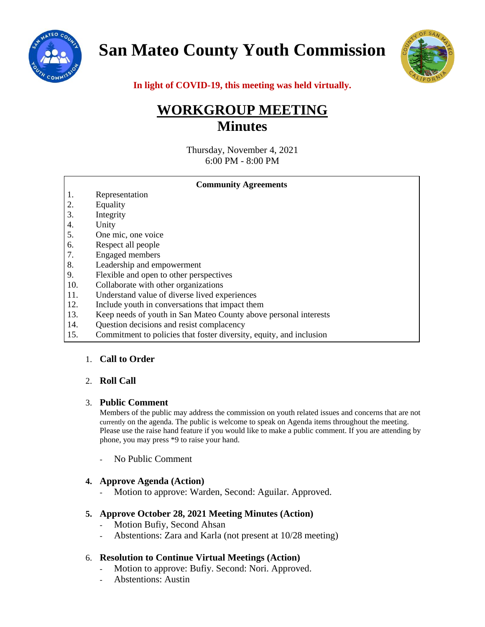

**San Mateo County Youth Commission**



**In light of COVID-19, this meeting was held virtually.**

# **WORKGROUP MEETING Minutes**

Thursday, November 4, 2021 6:00 PM - 8:00 PM

| <b>Community Agreements</b> |                                                                     |
|-----------------------------|---------------------------------------------------------------------|
| 1.                          | Representation                                                      |
| 2.                          | Equality                                                            |
| 3.                          | Integrity                                                           |
| 4.                          | Unity                                                               |
| 5.                          | One mic, one voice                                                  |
| 6.                          | Respect all people                                                  |
| 7.                          | <b>Engaged</b> members                                              |
| 8.                          | Leadership and empowerment                                          |
| 9.                          | Flexible and open to other perspectives                             |
| 10.                         | Collaborate with other organizations                                |
| 11.                         | Understand value of diverse lived experiences                       |
| 12.                         | Include youth in conversations that impact them                     |
| 13.                         | Keep needs of youth in San Mateo County above personal interests    |
| 14.                         | Question decisions and resist complacency                           |
| 15.                         | Commitment to policies that foster diversity, equity, and inclusion |

# 1. **Call to Order**

# 2. **Roll Call**

#### 3. **Public Comment**

Members of the public may address the commission on youth related issues and concerns that are not currently on the agenda. The public is welcome to speak on Agenda items throughout the meeting. Please use the raise hand feature if you would like to make a public comment. If you are attending by phone, you may press \*9 to raise your hand.

No Public Comment

#### **4. Approve Agenda (Action)**

- Motion to approve: Warden, Second: Aguilar. Approved.

#### **5. Approve October 28, 2021 Meeting Minutes (Action)**

- Motion Bufiy, Second Ahsan
- Abstentions: Zara and Karla (not present at 10/28 meeting)

#### 6. **Resolution to Continue Virtual Meetings (Action)**

- Motion to approve: Bufiy. Second: Nori. Approved.
- Abstentions: Austin